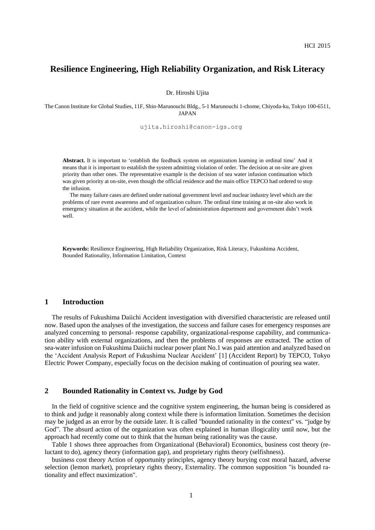# **Resilience Engineering, High Reliability Organization, and Risk Literacy**

Dr. Hiroshi Ujita

The Canon Institute for Global Studies, 11F, Shin-Marunouchi Bldg., 5-1 Marunouchi 1-chome, Chiyoda-ku, Tokyo 100-6511, JAPAN

[ujita.hiroshi@canon-igs.org](mailto:ujita.hiroshi@canon-igs.org)

**Abstract.** It is important to 'establish the feedback system on organization learning in ordinal time' And it means that it is important to establish the system admitting violation of order. The decision at on-site are given priority than other ones. The representative example is the decision of sea water infusion continuation which was given priority at on-site, even though the official residence and the main office TEPCO had ordered to stop the infusion.

The many failure cases are defined under national government level and nuclear industry level which are the problems of rare event awareness and of organization culture. The ordinal time training at on-site also work in emergency situation at the accident, while the level of administration department and government didn't work well.

**Keywords:** Resilience Engineering, High Reliability Organization, Risk Literacy, Fukushima Accident, Bounded Rationality, Information Limitation, Context

## **1 Introduction**

The results of Fukushima Daiichi Accident investigation with diversified characteristic are released until now. Based upon the analyses of the investigation, the success and failure cases for emergency responses are analyzed concerning to personal- response capability, organizational-response capability, and communication ability with external organizations, and then the problems of responses are extracted. The action of sea-water infusion on Fukushima Daiichi nuclear power plant No.1 was paid attention and analyzed based on the 'Accident Analysis Report of Fukushima Nuclear Accident' [1] (Accident Report) by TEPCO, Tokyo Electric Power Company, especially focus on the decision making of continuation of pouring sea water.

## **2 Bounded Rationality in Context vs. Judge by God**

In the field of cognitive science and the cognitive system engineering, the human being is considered as to think and judge it reasonably along context while there is information limitation. Sometimes the decision may be judged as an error by the outside later. It is called "bounded rationality in the context" vs. "judge by God". The absurd action of the organization was often explained in human illogicality until now, but the approach had recently come out to think that the human being rationality was the cause.

Table 1 shows three approaches from Organizational (Behavioral) Economics, business cost theory (reluctant to do), agency theory (information gap), and proprietary rights theory (selfishness).

business cost theory Action of opportunity principles, agency theory burying cost moral hazard, adverse selection (lemon market), proprietary rights theory, Externality. The common supposition "is bounded rationality and effect maximization".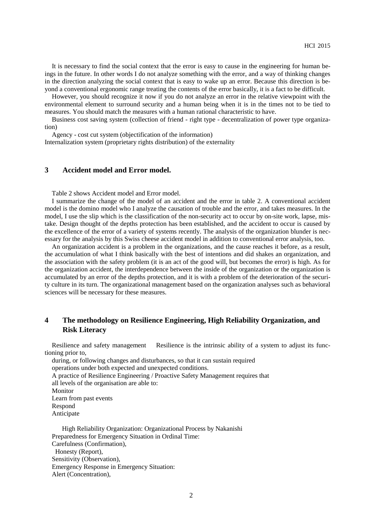It is necessary to find the social context that the error is easy to cause in the engineering for human beings in the future. In other words I do not analyze something with the error, and a way of thinking changes in the direction analyzing the social context that is easy to wake up an error. Because this direction is beyond a conventional ergonomic range treating the contents of the error basically, it is a fact to be difficult.

However, you should recognize it now if you do not analyze an error in the relative viewpoint with the environmental element to surround security and a human being when it is in the times not to be tied to measures. You should match the measures with a human rational characteristic to have.

Business cost saving system (collection of friend - right type - decentralization of power type organization)

Agency - cost cut system (objectification of the information) Internalization system (proprietary rights distribution) of the externality

## **3 Accident model and Error model.**

Table 2 shows Accident model and Error model.

I summarize the change of the model of an accident and the error in table 2. A conventional accident model is the domino model who I analyze the causation of trouble and the error, and takes measures. In the model, I use the slip which is the classification of the non-security act to occur by on-site work, lapse, mistake. Design thought of the depths protection has been established, and the accident to occur is caused by the excellence of the error of a variety of systems recently. The analysis of the organization blunder is necessary for the analysis by this Swiss cheese accident model in addition to conventional error analysis, too.

An organization accident is a problem in the organizations, and the cause reaches it before, as a result, the accumulation of what I think basically with the best of intentions and did shakes an organization, and the association with the safety problem (it is an act of the good will, but becomes the error) is high. As for the organization accident, the interdependence between the inside of the organization or the organization is accumulated by an error of the depths protection, and it is with a problem of the deterioration of the security culture in its turn. The organizational management based on the organization analyses such as behavioral sciences will be necessary for these measures.

# **4 The methodology on Resilience Engineering, High Reliability Organization, and Risk Literacy**

Resilience and safety management Resilience is the intrinsic ability of a system to adjust its functioning prior to,

during, or following changes and disturbances, so that it can sustain required operations under both expected and unexpected conditions. A practice of Resilience Engineering / Proactive Safety Management requires that all levels of the organisation are able to: Monitor Learn from past events Respond Anticipate

High Reliability Organization: Organizational Process by Nakanishi Preparedness for Emergency Situation in Ordinal Time: Carefulness (Confirmation), Honesty (Report), Sensitivity (Observation), Emergency Response in Emergency Situation: Alert (Concentration),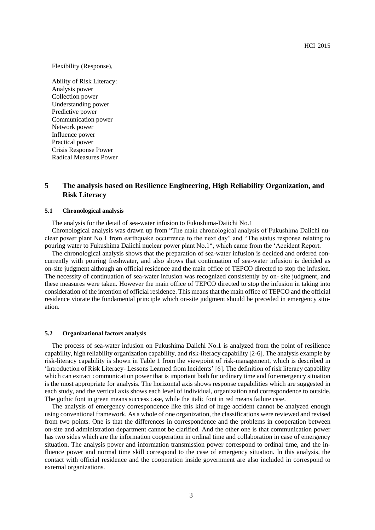Flexibility (Response),

Ability of Risk Literacy: Analysis power Collection power Understanding power Predictive power Communication power Network power Influence power Practical power Crisis Response Power Radical Measures Power

# **5 The analysis based on Resilience Engineering, High Reliability Organization, and Risk Literacy**

### **5.1 Chronological analysis**

The analysis for the detail of sea-water infusion to Fukushima-Daiichi No.1

Chronological analysis was drawn up from "The main chronological analysis of Fukushima Daiichi nuclear power plant No.1 from earthquake occurrence to the next day" and "The status response relating to pouring water to Fukushima Daiichi nuclear power plant No.1", which came from the 'Accident Report.

The chronological analysis shows that the preparation of sea-water infusion is decided and ordered concurrently with pouring freshwater, and also shows that continuation of sea-water infusion is decided as on-site judgment although an official residence and the main office of TEPCO directed to stop the infusion. The necessity of continuation of sea-water infusion was recognized consistently by on- site judgment, and these measures were taken. However the main office of TEPCO directed to stop the infusion in taking into consideration of the intention of official residence. This means that the main office of TEPCO and the official residence viorate the fundamental principle which on-site judgment should be preceded in emergency situation.

#### **5.2 Organizational factors analysis**

The process of sea-water infusion on Fukushima Daiichi No.1 is analyzed from the point of resilience capability, high reliability organization capability, and risk-literacy capability [2-6]. The analysis example by risk-literacy capability is shown in Table 1 from the viewpoint of risk-management, which is described in 'Introduction of Risk Literacy- Lessons Learned from Incidents' [6]. The definition of risk literacy capability which can extract communication power that is important both for ordinary time and for emergency situation is the most appropriate for analysis. The horizontal axis shows response capabilities which are suggested in each study, and the vertical axis shows each level of individual, organization and correspondence to outside. The gothic font in green means success case, while the italic font in red means failure case.

The analysis of emergency correspondence like this kind of huge accident cannot be analyzed enough using conventional framework. As a whole of one organization, the classifications were reviewed and revised from two points. One is that the differences in correspondence and the problems in cooperation between on-site and administration department cannot be clarified. And the other one is that communication power has two sides which are the information cooperation in ordinal time and collaboration in case of emergency situation. The analysis power and information transmission power correspond to ordinal time, and the influence power and normal time skill correspond to the case of emergency situation. In this analysis, the contact with official residence and the cooperation inside government are also included in correspond to external organizations.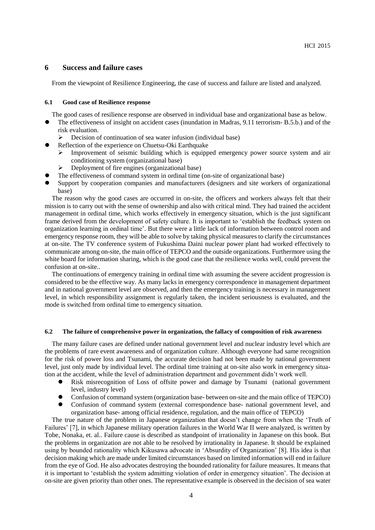## **6 Success and failure cases**

From the viewpoint of Resilience Engineering, the case of success and failure are listed and analyzed.

### **6.1 Good case of Resilience response**

The good cases of resilience response are observed in individual base and organizational base as below.

- The effectiveness of insight on accident cases (inundation in Madras, 9.11 terrorism- B.5.b.) and of the risk evaluation.
	- $\triangleright$  Decision of continuation of sea water infusion (individual base)
- Reflection of the experience on Chuetsu-Oki Earthquake
	- $\triangleright$  Improvement of seismic building which is equipped emergency power source system and air conditioning system (organizational base)
	- Deployment of fire engines (organizational base)
- The effectiveness of command system in ordinal time (on-site of organizational base)
- Support by cooperation companies and manufacturers (designers and site workers of organizational base)

The reason why the good cases are occurred in on-site, the officers and workers always felt that their mission is to carry out with the sense of ownership and also with critical mind. They had trained the accident management in ordinal time, which works effectively in emergency situation, which is the just significant frame derived from the development of safety culture. It is important to 'establish the feedback system on organization learning in ordinal time'. But there were a little lack of information between control room and emergency response room, they will be able to solve by taking physical measures to clarify the circumstances at on-site. The TV conference system of Fukushima Daini nuclear power plant had worked effectively to communicate among on-site, the main office of TEPCO and the outside organizations. Furthermore using the white board for information sharing, which is the good case that the resilience works well, could prevent the confusion at on-site..

The continuations of emergency training in ordinal time with assuming the severe accident progression is considered to be the effective way. As many lacks in emergency correspondence in management department and in national government level are observed, and then the emergency training is necessary in management level, in which responsibility assignment is regularly taken, the incident seriousness is evaluated, and the mode is switched from ordinal time to emergency situation.

#### **6.2 The failure of comprehensive power in organization, the fallacy of composition of risk awareness**

The many failure cases are defined under national government level and nuclear industry level which are the problems of rare event awareness and of organization culture. Although everyone had same recognition for the risk of power loss and Tsunami, the accurate decision had not been made by national government level, just only made by individual level. The ordinal time training at on-site also work in emergency situation at the accident, while the level of administration department and government didn't work well.

- Risk misrecognition of Loss of offsite power and damage by Tsunami (national government level, industry level)
- Confusion of command system (organization base- between on-site and the main office of TEPCO)
- Confusion of command system (external correspondence base- national government level, and organization base- among official residence, regulation, and the main office of TEPCO)

The true nature of the problem in Japanese organization that doesn't change from when the 'Truth of Failures' [7], in which Japanese military operation failures in the World War II were analyzed, is written by Tobe, Nonaka, et. al.. Failure cause is described as standpoint of irrationality in Japanese on this book. But the problems in organization are not able to be resolved by irrationality in Japanese. It should be explained using by bounded rationality which Kikusawa advocate in 'Absurdity of Organization' [8]. His idea is that decision making which are made under limited circumstances based on limited information will end in failure from the eye of God. He also advocates destroying the bounded rationality for failure measures. It means that it is important to 'establish the system admitting violation of order in emergency situation'. The decision at on-site are given priority than other ones. The representative example is observed in the decision of sea water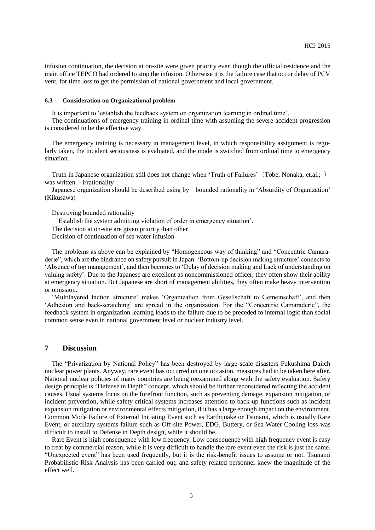infusion continuation, the decision at on-site were given priority even though the official residence and the main office TEPCO had ordered to stop the infusion. Otherwise it is the failure case that occur delay of PCV vent, for time loss to get the permission of national government and local government.

#### **6.3 Consideration on Organizational problem**

It is important to 'establish the feedback system on organization learning in ordinal time'.

The continuations of emergency training in ordinal time with assuming the severe accident progression is considered to be the effective way.

The emergency training is necessary in management level, in which responsibility assignment is regularly taken, the incident seriousness is evaluated, and the mode is switched from ordinal time to emergency situation.

Truth in Japanese organization still does not change when 'Truth of Failures'(Tobe, Nonaka, et.al.; ) was written. - irrationality

Japanese organization should be described using by bounded rationality in 'Absurdity of Organization' (Kikusawa)

### Destroying bounded rationality

'Establish the system admitting violation of order in emergency situation'.

The decision at on-site are given priority than other

Decision of continuation of sea water infusion

The problems as above can be explained by "Homogeneous way of thinking" and "Concentric Camaraderie", which are the hindrance on safety pursuit in Japan. 'Bottom-up decision making structure' connects to 'Absence of top management', and then becomes to 'Delay of decision making and Lack of understanding on valuing safety'. Due to the Japanese are excellent as noncommissioned officer, they often show their ability at emergency situation. But Japanese are short of management abilities, they often make heavy intervention or omission.

'Multilayered faction structure' makes 'Organization from Gesellschaft to Gemeinschaft', and then 'Adhesion and back-scratching' are spread in the organization. For the "Concentric Camaraderie", the feedback system in organization learning leads to the failure due to be preceded to internal logic than social common sense even in national government level or nuclear industry level.

#### **7 Discussion**

The "Privatization by National Policy" has been destroyed by large-scale disasters Fukushima Daiich nuclear power plants. Anyway, rare event has occurred on one occasion, measures had to be taken here after. National nuclear policies of many countries are being reexamined along with the safety evaluation. Safety design principle is "Defense in Depth" concept, which should be further reconsidered reflecting the accident causes. Usual systems focus on the forefront function, such as preventing damage, expansion mitigation, or incident prevention, while safety critical systems increases attention to back-up functions such as incident expansion mitigation or environmental effects mitigation, if it has a large enough impact on the environment. Common Mode Failure of External Initiating Event such as Earthquake or Tsunami, which is usually Rare Event, or auxiliary systems failure such as Off-site Power, EDG, Buttery, or Sea Water Cooling loss was difficult to install to Defense in Depth design, while it should be.

Rare Event is high consequence with low frequency. Low consequence with high frequency event is easy to treat by commercial reason, while it is very difficult to handle the rare event even the risk is just the same. "Unexpected event" has been used frequently, but it is the risk-benefit issues to assume or not. Tsunami Probabilistic Risk Analysis has been carried out, and safety related personnel knew the magnitude of the effect well.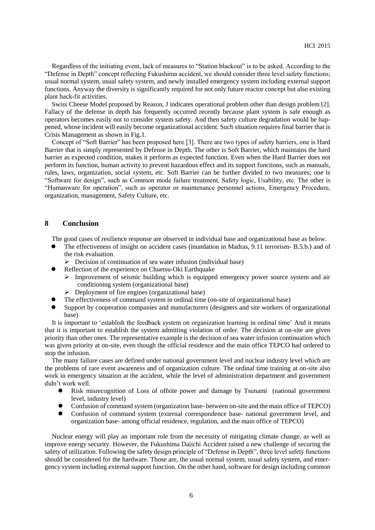Regardless of the initiating event, lack of measures to "Station blackout" is to be asked. According to the "Defense in Depth" concept reflecting Fukushima accident, we should consider three level safety functions; usual normal system, usual safety system, and newly installed emergency system including external support functions. Anyway the diversity is significantly required for not only future reactor concept but also existing plant back-fit activities.

Swiss Cheese Model proposed by Reason, J indicates operational problem other than design problem [2]. Fallacy of the defense in depth has frequently occurred recently because plant system is safe enough as operators becomes easily not to consider system safety. And then safety culture degradation would be happened, whose incident will easily become organizational accident. Such situation requires final barrier that is Crisis Management as shown in Fig.1.

Concept of "Soft Barrier" has been proposed here [3]. There are two types of safety barriers, one is Hard Barrier that is simply represented by Defense in Depth. The other is Soft Barrier, which maintains the hard barrier as expected condition, makes it perform as expected function. Even when the Hard Barrier does not perform its function, human activity to prevent hazardous effect and its support functions, such as manuals, rules, laws, organization, social system, etc. Soft Barrier can be further divided to two measures; one is "Software for design", such as Common mode failure treatment, Safety logic, Usability, etc. The other is "Humanware for operation", such as operator or maintenance personnel actions, Emergency Procedure, organization, management, Safety Culture, etc.

## **8 Conclusion**

The good cases of resilience response are observed in individual base and organizational base as below.

- The effectiveness of insight on accident cases (inundation in Madras, 9.11 terrorism- B.5.b.) and of the risk evaluation.
	- $\triangleright$  Decision of continuation of sea water infusion (individual base)
- Reflection of the experience on Chuetsu-Oki Earthquake
	- Improvement of seismic building which is equipped emergency power source system and air conditioning system (organizational base)
	- $\triangleright$  Deployment of fire engines (organizational base)
- The effectiveness of command system in ordinal time (on-site of organizational base)
- Support by cooperation companies and manufacturers (designers and site workers of organizational base)

It is important to 'establish the feedback system on organization learning in ordinal time' And it means that it is important to establish the system admitting violation of order. The decision at on-site are given priority than other ones. The representative example is the decision of sea water infusion continuation which was given priority at on-site, even though the official residence and the main office TEPCO had ordered to stop the infusion.

The many failure cases are defined under national government level and nuclear industry level which are the problems of rare event awareness and of organization culture. The ordinal time training at on-site also work in emergency situation at the accident, while the level of administration department and government didn't work well.

- Risk misrecognition of Loss of offsite power and damage by Tsunami (national government level, industry level)
- Confusion of command system (organization base- between on-site and the main office of TEPCO)
- Confusion of command system (external correspondence base- national government level, and organization base- among official residence, regulation, and the main office of TEPCO)

Nuclear energy will play an important role from the necessity of mitigating climate change, as well as improve energy security. However, the Fukushima Daiichi Accident raised a new challenge of securing the safety of utilization. Following the safety design principle of "Defense in Depth", three level safety functions should be considered for the hardware. Those are, the usual normal system, usual safety system, and emergency system including external support function. On the other hand, software for design including common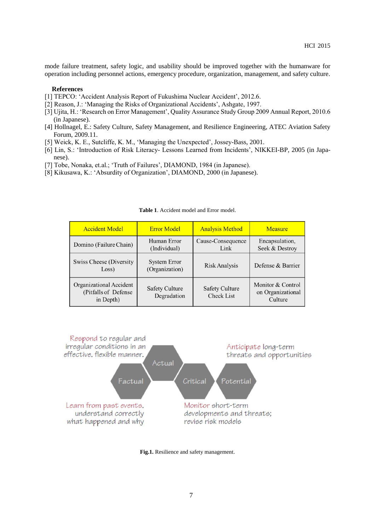mode failure treatment, safety logic, and usability should be improved together with the humanware for operation including personnel actions, emergency procedure, organization, management, and safety culture.

#### **References**

- [1] TEPCO: 'Accident Analysis Report of Fukushima Nuclear Accident', 2012.6.
- [2] Reason, J.: 'Managing the Risks of Organizational Accidents', Ashgate, 1997.
- [3] Ujita, H.: 'Research on Error Management', Quality Assurance Study Group 2009 Annual Report, 2010.6 (in Japanese).
- [4] Hollnagel, E.: Safety Culture, Safety Management, and Resilience Engineering, ATEC Aviation Safety Forum, 2009.11.
- [5] Weick, K. E., Sutcliffe, K. M., 'Managing the Unexpected', Jossey-Bass, 2001.
- [6] Lin, S.: 'Introduction of Risk Literacy- Lessons Learned from Incidents', NIKKEI-BP, 2005 (in Japanese).
- [7] Tobe, Nonaka, et.al.; 'Truth of Failures', DIAMOND, 1984 (in Japanese).
- [8] Kikusawa, K.: 'Absurdity of Organization', DIAMOND, 2000 (in Japanese).

| <b>Accident Model</b>                                         | <b>Error Model</b>                    | <b>Analysis Method</b>                     | <b>Measure</b><br>Encapsulation,<br>Seek & Destroy |  |
|---------------------------------------------------------------|---------------------------------------|--------------------------------------------|----------------------------------------------------|--|
| Domino (Failure Chain)                                        | Human Error<br>(Individual)           | Cause-Consequence<br>Link                  |                                                    |  |
| <b>Swiss Cheese (Diversity)</b><br>Loss)                      | <b>System Error</b><br>(Organization) | Risk Analysis                              | Defense & Barrier                                  |  |
| Organizational Accident<br>(Pitfalls of Defense)<br>in Depth) | <b>Safety Culture</b><br>Degradation  | <b>Safety Culture</b><br><b>Check List</b> | Monitor & Control<br>on Organizational<br>Culture  |  |

**Table 1**. Accident model and Error model.



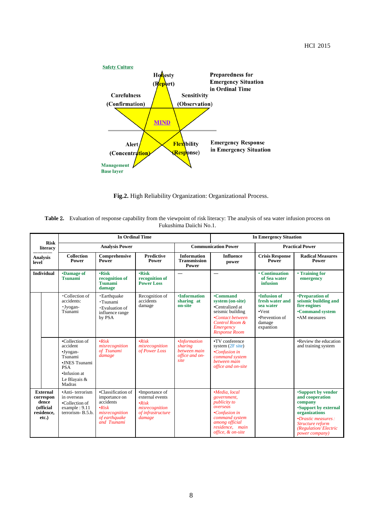

**Fig.2.** High Reliability Organization: Organizational Process.

|                         | <b>Table 2.</b> Evaluation of response capability from the viewpoint of risk literacy: The analysis of sea water infusion process on |  |  |  |  |  |  |  |
|-------------------------|--------------------------------------------------------------------------------------------------------------------------------------|--|--|--|--|--|--|--|
| Fukushima Daiichi No.1. |                                                                                                                                      |  |  |  |  |  |  |  |

| <b>Risk</b><br>literacy<br><b>Analysis</b><br>level |                                                                           | <b>In Ordinal Time</b>                                                                                                     |                                                                                                                    |                                                                                                    | <b>In Emergency Situation</b>                                     |                                                                                                                                                              |                                                                                                       |                                                                                                                                                                                             |
|-----------------------------------------------------|---------------------------------------------------------------------------|----------------------------------------------------------------------------------------------------------------------------|--------------------------------------------------------------------------------------------------------------------|----------------------------------------------------------------------------------------------------|-------------------------------------------------------------------|--------------------------------------------------------------------------------------------------------------------------------------------------------------|-------------------------------------------------------------------------------------------------------|---------------------------------------------------------------------------------------------------------------------------------------------------------------------------------------------|
|                                                     |                                                                           | <b>Analysis Power</b>                                                                                                      |                                                                                                                    |                                                                                                    | <b>Communication Power</b>                                        |                                                                                                                                                              | <b>Practical Power</b>                                                                                |                                                                                                                                                                                             |
|                                                     |                                                                           | <b>Collection</b><br>Power                                                                                                 | Comprehensive<br>Power                                                                                             | <b>Predictive</b><br>Power                                                                         | <b>Information</b><br><b>Transmission</b><br>Power                | <b>Influence</b><br>power                                                                                                                                    | <b>Crisis Response</b><br><b>Power</b>                                                                | <b>Radical Measures</b><br>Power                                                                                                                                                            |
| <b>Individual</b>                                   |                                                                           | <b>•Damage of</b><br><b>Tsunami</b>                                                                                        | $\cdot$ Risk<br>recognition of<br><b>Tsunami</b><br>damage                                                         | $\cdot$ Risk<br>recognition of<br><b>Power Loss</b>                                                | $\overline{\phantom{0}}$                                          |                                                                                                                                                              | • Continuation<br>of Sea water<br>infusion                                                            | • Training for<br>emergency                                                                                                                                                                 |
|                                                     |                                                                           | •Collection of<br>accidents:<br>-Jyogan-<br>Tsunami                                                                        | · Earthquake<br>· Tsunami<br>• Evaluation of<br>influence range<br>by PSA                                          | Recognition of<br>accidents<br>damage                                                              | •Information<br>sharing at<br>on-site                             | $\cdot$ Command<br>system (on-site)<br>•Centralized at<br>seismic building<br>•Contact between<br>Control Room &<br>Emergency<br><b>Response Room</b>        | •Infusion of<br>fresh water and<br>sea water<br>$\cdot$ Vent<br>•Prevention of<br>damage<br>expantion | •Preparation of<br>seismic building and<br>fire engines<br><b>•Command system</b><br>•AM measures                                                                                           |
|                                                     |                                                                           | •Collection of<br>accident<br>•Jyogan-<br>Tsunami<br>·JNES Tsunami<br><b>PSA</b><br>•Infusion at<br>Le Blayais &<br>Madras | $\cdot$ Risk<br>misrecognition<br>of Tsunami<br>damage                                                             | $\cdot$ Risk<br>misrecognition<br>of Power Loss                                                    | •Information<br>sharing<br>between main<br>office and on-<br>site | •TV conference<br>system $(2F site)$<br>•Confusion in<br>command system<br>between main<br>office and on-site                                                |                                                                                                       | •Review the education<br>and training system                                                                                                                                                |
|                                                     | <b>External</b><br>correspon<br>dence<br>(official<br>residence,<br>etc.) | ·Anti-terrorism<br>in overseas<br>•Collection of<br>example: 9.11<br>terrorism-B.5.b.                                      | •Classification of<br>importance on<br>accidents<br>$\cdot$ Risk<br>misrecognition<br>of earthquake<br>and Tsunami | •Importance of<br>external events<br>$\cdot$ Risk<br>misrecognition<br>of infrastructure<br>damage |                                                                   | ·Media. local<br>government,<br><i>publicity to</i><br>overseas<br>•Confusion in<br>command system<br>among official<br>residence, main<br>office, & on-site |                                                                                                       | <b>Support by vendor</b><br>and cooperation<br>company<br>•Support by external<br>organizations<br>•Drastic measures:<br>Structure reform<br>(Regulation/Electric<br><i>power company</i> ) |